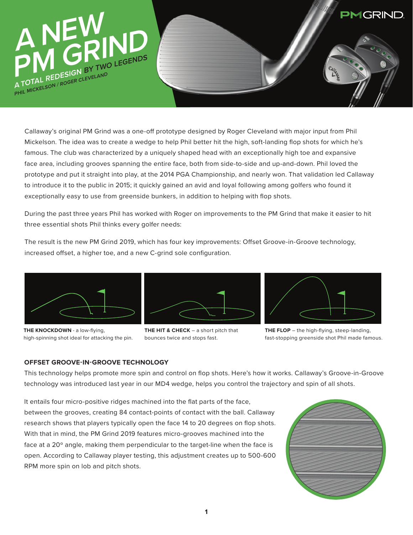

Callaway's original PM Grind was a one-off prototype designed by Roger Cleveland with major input from Phil Mickelson. The idea was to create a wedge to help Phil better hit the high, soft-landing flop shots for which he's famous. The club was characterized by a uniquely shaped head with an exceptionally high toe and expansive face area, including grooves spanning the entire face, both from side-to-side and up-and-down. Phil loved the prototype and put it straight into play, at the 2014 PGA Championship, and nearly won. That validation led Callaway to introduce it to the public in 2015; it quickly gained an avid and loyal following among golfers who found it exceptionally easy to use from greenside bunkers, in addition to helping with flop shots.

During the past three years Phil has worked with Roger on improvements to the PM Grind that make it easier to hit three essential shots Phil thinks every golfer needs:

The result is the new PM Grind 2019, which has four key improvements: Offset Groove-in-Groove technology, increased offset, a higher toe, and a new C-grind sole configuration.



**THE KNOCKDOWN** - a low-flying, high-spinning shot ideal for attacking the pin.







**THE FLOP** – the high-flying, steep-landing, fast-stopping greenside shot Phil made famous.

# **OFFSET GROOVE-IN-GROOVE TECHNOLOGY**

This technology helps promote more spin and control on flop shots. Here's how it works. Callaway's Groove-in-Groove technology was introduced last year in our MD4 wedge, helps you control the trajectory and spin of all shots.

It entails four micro-positive ridges machined into the flat parts of the face, between the grooves, creating 84 contact-points of contact with the ball. Callaway research shows that players typically open the face 14 to 20 degrees on flop shots. With that in mind, the PM Grind 2019 features micro-grooves machined into the face at a 20º angle, making them perpendicular to the target-line when the face is open. According to Callaway player testing, this adjustment creates up to 500-600 RPM more spin on lob and pitch shots. Previous